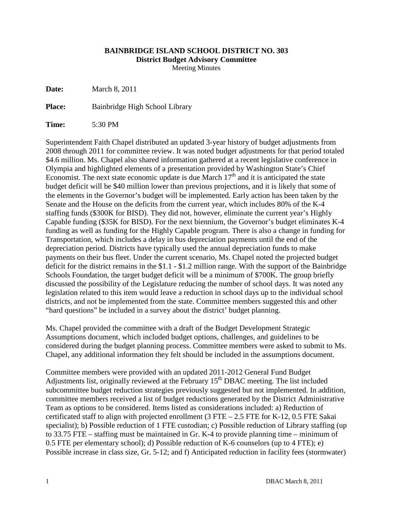## **BAINBRIDGE ISLAND SCHOOL DISTRICT NO. 303 District Budget Advisory Committee**

Meeting Minutes

**Date:** March 8, 2011

Place: Bainbridge High School Library

**Time:** 5:30 PM

Superintendent Faith Chapel distributed an updated 3-year history of budget adjustments from 2008 through 2011 for committee review. It was noted budget adjustments for that period totaled \$4.6 million. Ms. Chapel also shared information gathered at a recent legislative conference in Olympia and highlighted elements of a presentation provided by Washington State's Chief Economist. The next state economic update is due March  $17<sup>th</sup>$  and it is anticipated the state budget deficit will be \$40 million lower than previous projections, and it is likely that some of the elements in the Governor's budget will be implemented. Early action has been taken by the Senate and the House on the deficits from the current year, which includes 80% of the K-4 staffing funds (\$300K for BISD). They did not, however, eliminate the current year's Highly Capable funding (\$35K for BISD). For the next biennium, the Governor's budget eliminates K-4 funding as well as funding for the Highly Capable program. There is also a change in funding for Transportation, which includes a delay in bus depreciation payments until the end of the depreciation period. Districts have typically used the annual depreciation funds to make payments on their bus fleet. Under the current scenario, Ms. Chapel noted the projected budget deficit for the district remains in the \$1.1 - \$1.2 million range. With the support of the Bainbridge Schools Foundation, the target budget deficit will be a minimum of \$700K. The group briefly discussed the possibility of the Legislature reducing the number of school days. It was noted any legislation related to this item would leave a reduction in school days up to the individual school districts, and not be implemented from the state. Committee members suggested this and other "hard questions" be included in a survey about the district' budget planning.

Ms. Chapel provided the committee with a draft of the Budget Development Strategic Assumptions document, which included budget options, challenges, and guidelines to be considered during the budget planning process. Committee members were asked to submit to Ms. Chapel, any additional information they felt should be included in the assumptions document.

Committee members were provided with an updated 2011-2012 General Fund Budget Adjustments list, originally reviewed at the February  $15<sup>th</sup>$  DBAC meeting. The list included subcommittee budget reduction strategies previously suggested but not implemented. In addition, committee members received a list of budget reductions generated by the District Administrative Team as options to be considered. Items listed as considerations included: a) Reduction of certificated staff to align with projected enrollment  $(3 FTE - 2.5 FTE)$  for K-12, 0.5 FTE Sakai specialist); b) Possible reduction of 1 FTE custodian; c) Possible reduction of Library staffing (up to 33.75 FTE – staffing must be maintained in Gr. K-4 to provide planning time – minimum of 0.5 FTE per elementary school); d) Possible reduction of K-6 counselors (up to 4 FTE); e) Possible increase in class size, Gr. 5-12; and f) Anticipated reduction in facility fees (stormwater)